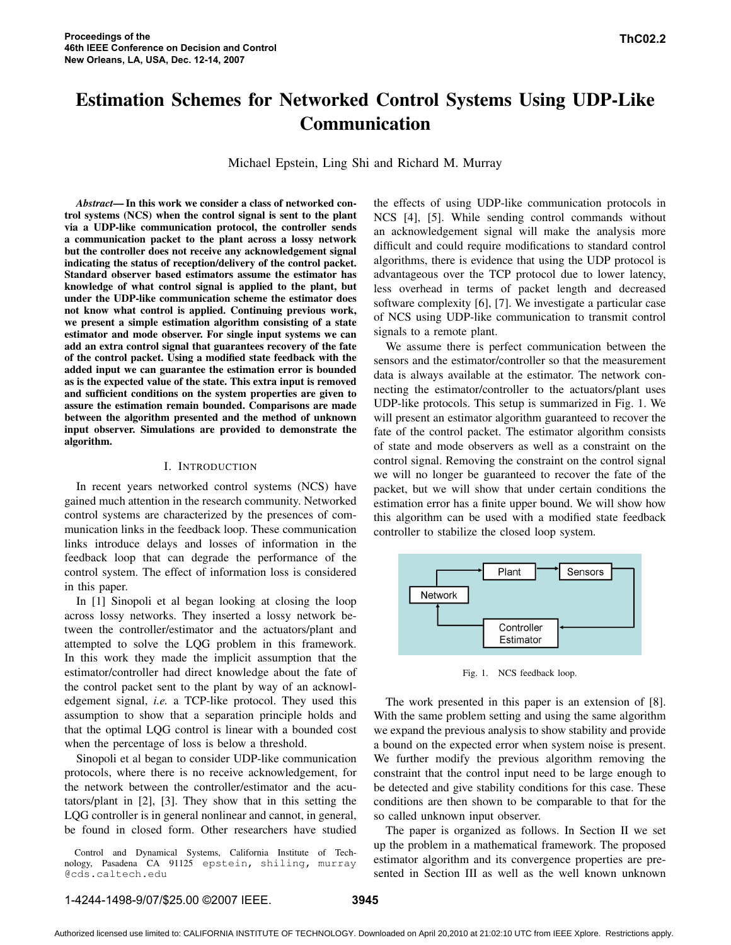# Estimation Schemes for Networked Control Systems Using UDP-Like Communication

Michael Epstein, Ling Shi and Richard M. Murray

*Abstract*— In this work we consider a class of networked control systems (NCS) when the control signal is sent to the plant via a UDP-like communication protocol, the controller sends a communication packet to the plant across a lossy network but the controller does not receive any acknowledgement signal indicating the status of reception/delivery of the control packet. Standard observer based estimators assume the estimator has knowledge of what control signal is applied to the plant, but under the UDP-like communication scheme the estimator does not know what control is applied. Continuing previous work, we present a simple estimation algorithm consisting of a state estimator and mode observer. For single input systems we can add an extra control signal that guarantees recovery of the fate of the control packet. Using a modified state feedback with the added input we can guarantee the estimation error is bounded as is the expected value of the state. This extra input is removed and sufficient conditions on the system properties are given to assure the estimation remain bounded. Comparisons are made between the algorithm presented and the method of unknown input observer. Simulations are provided to demonstrate the algorithm.

# I. INTRODUCTION

In recent years networked control systems (NCS) have gained much attention in the research community. Networked control systems are characterized by the presences of communication links in the feedback loop. These communication links introduce delays and losses of information in the feedback loop that can degrade the performance of the control system. The effect of information loss is considered in this paper.

In [1] Sinopoli et al began looking at closing the loop across lossy networks. They inserted a lossy network between the controller/estimator and the actuators/plant and attempted to solve the LQG problem in this framework. In this work they made the implicit assumption that the estimator/controller had direct knowledge about the fate of the control packet sent to the plant by way of an acknowledgement signal, *i.e.* a TCP-like protocol. They used this assumption to show that a separation principle holds and that the optimal LQG control is linear with a bounded cost when the percentage of loss is below a threshold.

Sinopoli et al began to consider UDP-like communication protocols, where there is no receive acknowledgement, for the network between the controller/estimator and the acutators/plant in [2], [3]. They show that in this setting the LQG controller is in general nonlinear and cannot, in general, be found in closed form. Other researchers have studied

Control and Dynamical Systems, California Institute of Technology, Pasadena CA 91125 epstein, shiling, murray @cds.caltech.edu

the effects of using UDP-like communication protocols in NCS [4], [5]. While sending control commands without an acknowledgement signal will make the analysis more difficult and could require modifications to standard control algorithms, there is evidence that using the UDP protocol is advantageous over the TCP protocol due to lower latency, less overhead in terms of packet length and decreased software complexity [6], [7]. We investigate a particular case of NCS using UDP-like communication to transmit control signals to a remote plant.

We assume there is perfect communication between the sensors and the estimator/controller so that the measurement data is always available at the estimator. The network connecting the estimator/controller to the actuators/plant uses UDP-like protocols. This setup is summarized in Fig. 1. We will present an estimator algorithm guaranteed to recover the fate of the control packet. The estimator algorithm consists of state and mode observers as well as a constraint on the control signal. Removing the constraint on the control signal we will no longer be guaranteed to recover the fate of the packet, but we will show that under certain conditions the estimation error has a finite upper bound. We will show how this algorithm can be used with a modified state feedback controller to stabilize the closed loop system.



Fig. 1. NCS feedback loop.

The work presented in this paper is an extension of [8]. With the same problem setting and using the same algorithm we expand the previous analysis to show stability and provide a bound on the expected error when system noise is present. We further modify the previous algorithm removing the constraint that the control input need to be large enough to be detected and give stability conditions for this case. These conditions are then shown to be comparable to that for the so called unknown input observer.

The paper is organized as follows. In Section II we set up the problem in a mathematical framework. The proposed estimator algorithm and its convergence properties are presented in Section III as well as the well known unknown

## 1-4244-1498-9/07/\$25.00 ©2007 IEEE. **3945**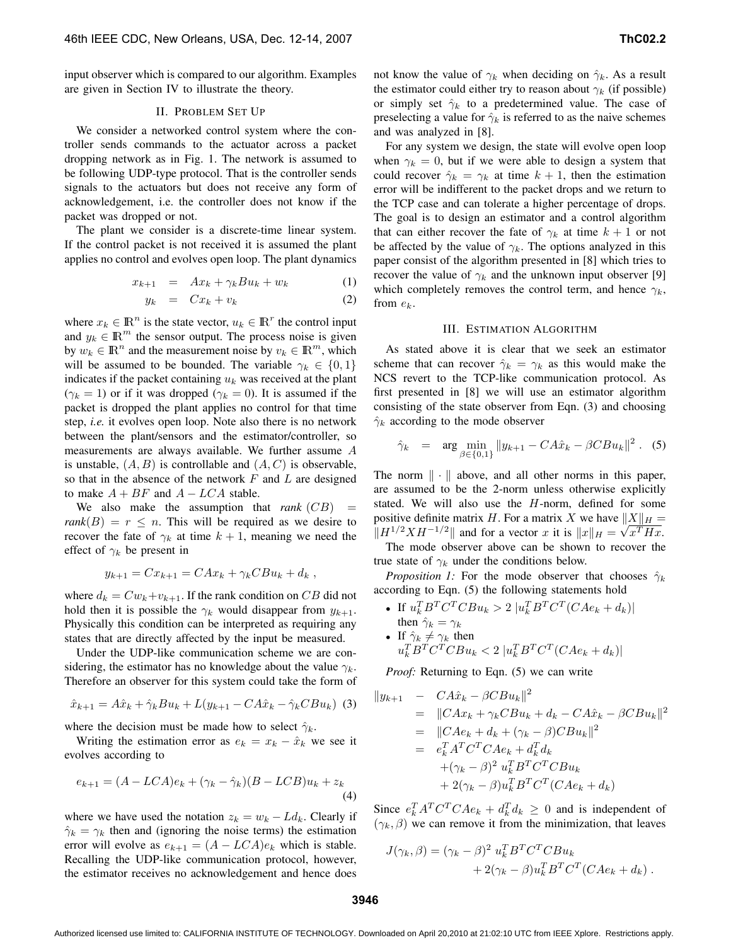input observer which is compared to our algorithm. Examples are given in Section IV to illustrate the theory.

## II. PROBLEM SET UP

We consider a networked control system where the controller sends commands to the actuator across a packet dropping network as in Fig. 1. The network is assumed to be following UDP-type protocol. That is the controller sends signals to the actuators but does not receive any form of acknowledgement, i.e. the controller does not know if the packet was dropped or not.

The plant we consider is a discrete-time linear system. If the control packet is not received it is assumed the plant applies no control and evolves open loop. The plant dynamics

$$
x_{k+1} = Ax_k + \gamma_k Bu_k + w_k \tag{1}
$$

$$
y_k = Cx_k + v_k \tag{2}
$$

where  $x_k \in \mathbb{R}^n$  is the state vector,  $u_k \in \mathbb{R}^r$  the control input and  $y_k \in \mathbb{R}^m$  the sensor output. The process noise is given by  $w_k \in \mathbb{R}^n$  and the measurement noise by  $v_k \in \mathbb{R}^m$ , which will be assumed to be bounded. The variable  $\gamma_k \in \{0,1\}$ indicates if the packet containing  $u_k$  was received at the plant  $(\gamma_k = 1)$  or if it was dropped  $(\gamma_k = 0)$ . It is assumed if the packet is dropped the plant applies no control for that time step, *i.e.* it evolves open loop. Note also there is no network between the plant/sensors and the estimator/controller, so measurements are always available. We further assume A is unstable,  $(A, B)$  is controllable and  $(A, C)$  is observable, so that in the absence of the network  $F$  and  $L$  are designed to make  $A + BF$  and  $A - LCA$  stable.

We also make the assumption that *rank*  $(CB)$  =  $rank(B) = r \leq n$ . This will be required as we desire to recover the fate of  $\gamma_k$  at time  $k + 1$ , meaning we need the effect of  $\gamma_k$  be present in

$$
y_{k+1} = Cx_{k+1} = CAx_k + \gamma_k CBu_k + d_k,
$$

where  $d_k = Cw_k + v_{k+1}$ . If the rank condition on CB did not hold then it is possible the  $\gamma_k$  would disappear from  $y_{k+1}$ . Physically this condition can be interpreted as requiring any states that are directly affected by the input be measured.

Under the UDP-like communication scheme we are considering, the estimator has no knowledge about the value  $\gamma_k$ . Therefore an observer for this system could take the form of

$$
\hat{x}_{k+1} = A\hat{x}_k + \hat{\gamma}_k B u_k + L(y_{k+1} - CA\hat{x}_k - \hat{\gamma}_k C B u_k)
$$
 (3)

where the decision must be made how to select  $\hat{\gamma}_k$ .

Writing the estimation error as  $e_k = x_k - \hat{x}_k$  we see it evolves according to

$$
e_{k+1} = (A - LCA)e_k + (\gamma_k - \hat{\gamma}_k)(B - LCB)u_k + z_k
$$
  
(4)

where we have used the notation  $z_k = w_k - Ld_k$ . Clearly if  $\hat{\gamma}_k = \gamma_k$  then and (ignoring the noise terms) the estimation error will evolve as  $e_{k+1} = (A - LCA)e_k$  which is stable. Recalling the UDP-like communication protocol, however, the estimator receives no acknowledgement and hence does not know the value of  $\gamma_k$  when deciding on  $\hat{\gamma}_k$ . As a result the estimator could either try to reason about  $\gamma_k$  (if possible) or simply set  $\hat{\gamma}_k$  to a predetermined value. The case of preselecting a value for  $\hat{\gamma}_k$  is referred to as the naive schemes and was analyzed in [8].

For any system we design, the state will evolve open loop when  $\gamma_k = 0$ , but if we were able to design a system that could recover  $\hat{\gamma}_k = \gamma_k$  at time  $k + 1$ , then the estimation error will be indifferent to the packet drops and we return to the TCP case and can tolerate a higher percentage of drops. The goal is to design an estimator and a control algorithm that can either recover the fate of  $\gamma_k$  at time  $k+1$  or not be affected by the value of  $\gamma_k$ . The options analyzed in this paper consist of the algorithm presented in [8] which tries to recover the value of  $\gamma_k$  and the unknown input observer [9] which completely removes the control term, and hence  $\gamma_k$ , from  $e_k$ .

#### III. ESTIMATION ALGORITHM

As stated above it is clear that we seek an estimator scheme that can recover  $\hat{\gamma}_k = \gamma_k$  as this would make the NCS revert to the TCP-like communication protocol. As first presented in [8] we will use an estimator algorithm consisting of the state observer from Eqn. (3) and choosing  $\hat{\gamma}_k$  according to the mode observer

$$
\hat{\gamma}_k = \arg \min_{\beta \in \{0,1\}} \|y_{k+1} - CA\hat{x}_k - \beta CBu_k\|^2. \quad (5)
$$

The norm  $\|\cdot\|$  above, and all other norms in this paper, are assumed to be the 2-norm unless otherwise explicitly stated. We will also use the  $H$ -norm, defined for some positive definite matrix H. For a matrix X we have  $||X||_H =$  $\|H^{1/2} X H^{-1/2}\|$  and for a vector x it is  $\|x\|_H = \sqrt{x^T H x}$ .

The mode observer above can be shown to recover the true state of  $\gamma_k$  under the conditions below.

*Proposition 1:* For the mode observer that chooses  $\hat{\gamma}_k$ according to Eqn. (5) the following statements hold

- If  $u_k^T B^T C^T C B u_k > 2 |u_k^T B^T C^T (C A e_k + d_k)|$ then  $\hat{\gamma}_k = \gamma_k$
- If  $\hat{\gamma}_k \neq \gamma_k$  then  $u_k^T B^T C^T C B u_k < 2 |u_k^T B^T C^T (C A e_k + d_k)|$

*Proof:* Returning to Eqn. (5) we can write

$$
||y_{k+1} - CA\hat{x}_k - \beta CBu_k||^2
$$
  
=  $||CAx_k + \gamma_k CBu_k + d_k - CA\hat{x}_k - \beta CBu_k||^2$   
=  $||CAe_k + d_k + (\gamma_k - \beta)CBu_k||^2$   
=  $e_k^T A^T C^T CAe_k + d_k^T d_k$   
+  $(\gamma_k - \beta)^2 u_k^T B^T C^T C Bu_k$   
+  $2(\gamma_k - \beta)u_k^T B^T C^T (CAe_k + d_k)$ 

Since  $e_k^T A^T C^T C A e_k + d_k^T d_k \ge 0$  and is independent of  $(\gamma_k, \beta)$  we can remove it from the minimization, that leaves

$$
J(\gamma_k, \beta) = (\gamma_k - \beta)^2 u_k^T B^T C^T C B u_k + 2(\gamma_k - \beta) u_k^T B^T C^T (C A e_k + d_k).
$$

Authorized licensed use limited to: CALIFORNIA INSTITUTE OF TECHNOLOGY. Downloaded on April 20,2010 at 21:02:10 UTC from IEEE Xplore. Restrictions apply.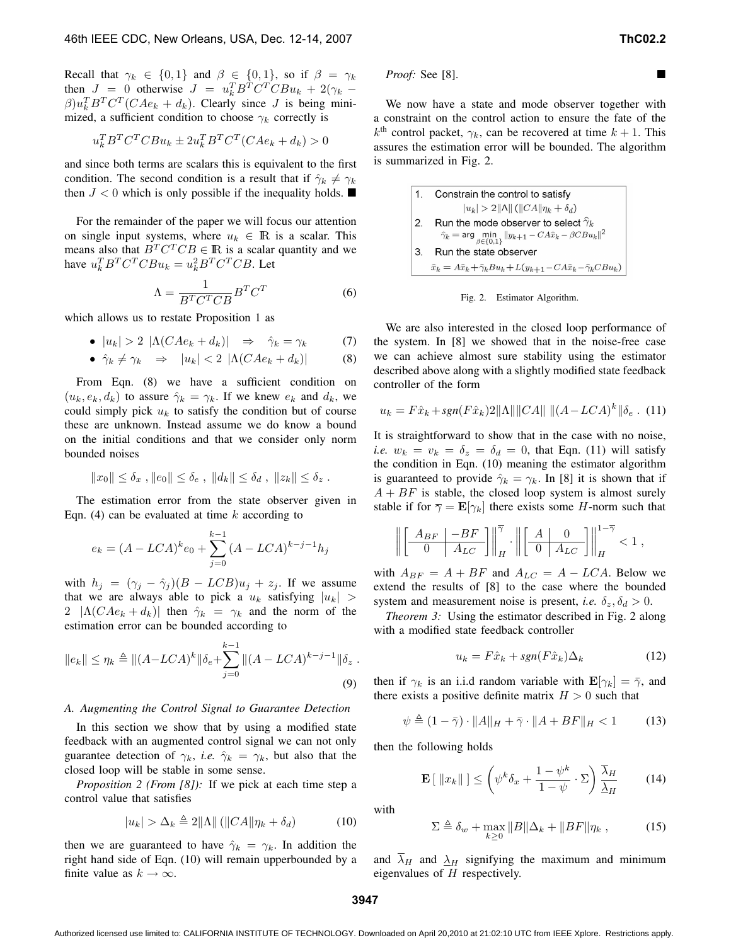Recall that  $\gamma_k \in \{0, 1\}$  and  $\beta \in \{0, 1\}$ , so if  $\beta = \gamma_k$ then  $J = 0$  otherwise  $J = u_k^T B^T C^T C B u_k + 2(\gamma_k \beta)u_k^T B^T C^T (CAe_k + d_k)$ . Clearly since J is being minimized, a sufficient condition to choose  $\gamma_k$  correctly is

$$
u_k^T B^T C^T C B u_k \pm 2 u_k^T B^T C^T (C A e_k + d_k) > 0
$$

and since both terms are scalars this is equivalent to the first condition. The second condition is a result that if  $\hat{\gamma}_k \neq \gamma_k$ then  $J < 0$  which is only possible if the inequality holds.

For the remainder of the paper we will focus our attention on single input systems, where  $u_k \in \mathbb{R}$  is a scalar. This means also that  $B^T C^T C B \in \mathbb{R}$  is a scalar quantity and we have  $u_k^T B^T C^T C B u_k = u_k^2 B^T C^T C B$ . Let

$$
\Lambda = \frac{1}{B^T C^T C B} B^T C^T \tag{6}
$$

which allows us to restate Proposition 1 as

• 
$$
|u_k| > 2 \left| \Lambda(CAe_k + d_k) \right| \Rightarrow \hat{\gamma}_k = \gamma_k
$$
 (7)

• 
$$
\hat{\gamma}_k \neq \gamma_k \Rightarrow |u_k| < 2 |\Lambda(CAe_k + d_k)|
$$
 (8)

From Eqn. (8) we have a sufficient condition on  $(u_k, e_k, d_k)$  to assure  $\hat{\gamma}_k = \gamma_k$ . If we knew  $e_k$  and  $d_k$ , we could simply pick  $u_k$  to satisfy the condition but of course these are unknown. Instead assume we do know a bound on the initial conditions and that we consider only norm bounded noises

$$
||x_0|| \le \delta_x
$$
,  $||e_0|| \le \delta_e$ ,  $||d_k|| \le \delta_d$ ,  $||z_k|| \le \delta_z$ .

The estimation error from the state observer given in Eqn. (4) can be evaluated at time  $k$  according to

$$
e_k = (A - LCA)^k e_0 + \sum_{j=0}^{k-1} (A - LCA)^{k-j-1} h_j
$$

with  $h_j = (\gamma_j - \hat{\gamma}_j)(B - LCB)u_j + z_j$ . If we assume that we are always able to pick a  $u_k$  satisfying  $|u_k| >$ 2  $|\Lambda(CAe_k + d_k)|$  then  $\hat{\gamma}_k = \gamma_k$  and the norm of the estimation error can be bounded according to

$$
||e_k|| \le \eta_k \triangleq ||(A - LCA)^k||\delta_e + \sum_{j=0}^{k-1} ||(A - LCA)^{k-j-1}||\delta_z.
$$
\n(9)

## *A. Augmenting the Control Signal to Guarantee Detection*

In this section we show that by using a modified state feedback with an augmented control signal we can not only guarantee detection of  $\gamma_k$ , *i.e.*  $\hat{\gamma}_k = \gamma_k$ , but also that the closed loop will be stable in some sense.

*Proposition 2 (From [8]):* If we pick at each time step a control value that satisfies

$$
|u_k| > \Delta_k \triangleq 2\|\Lambda\| \left( \|CA\|\eta_k + \delta_d\right) \tag{10}
$$

then we are guaranteed to have  $\hat{\gamma}_k = \gamma_k$ . In addition the right hand side of Eqn. (10) will remain upperbounded by a finite value as  $k \to \infty$ .

*Proof:* See [8].

We now have a state and mode observer together with a constraint on the control action to ensure the fate of the  $k<sup>th</sup>$  control packet,  $\gamma_k$ , can be recovered at time  $k + 1$ . This assures the estimation error will be bounded. The algorithm is summarized in Fig. 2.

\n- 1. Constrain the control to satisfy 
$$
|u_k| > 2\|\Lambda\| \left( \|CA\| \eta_k + \delta_d \right)
$$
\n- 2. Run the mode observer to select  $\hat{\gamma}_k$ ,  $\hat{\gamma}_k = \arg \min_{\beta \in \{0,1\}} \|y_{k+1} - CA\hat{x}_k - \beta C B u_k\|^2$
\n- 3. Run the state observer  $\hat{x}_k = A\hat{x}_k + \hat{\gamma}_k B u_k + L(y_{k+1} - CA\hat{x}_k - \hat{\gamma}_k C B u_k)$
\n



We are also interested in the closed loop performance of the system. In [8] we showed that in the noise-free case we can achieve almost sure stability using the estimator described above along with a slightly modified state feedback controller of the form

$$
u_k = F\hat{x}_k + sgn(F\hat{x}_k)2\|\Lambda\| \|CA\| \| (A - LCA)^k \| \delta_e . (11)
$$

It is straightforward to show that in the case with no noise, *i.e.*  $w_k = v_k = \delta_z = \delta_d = 0$ , that Eqn. (11) will satisfy the condition in Eqn. (10) meaning the estimator algorithm is guaranteed to provide  $\hat{\gamma}_k = \gamma_k$ . In [8] it is shown that if  $A + BF$  is stable, the closed loop system is almost surely stable if for  $\overline{\gamma} = \mathbf{E}[\gamma_k]$  there exists some H-norm such that

$$
\left\| \left[\begin{array}{c|c} A_{BF} & -BF \\ \hline 0 & A_{LC} \end{array}\right] \right\|_H^{\overline{\gamma}} \cdot \left\| \left[\begin{array}{c|c} A & 0 \\ \hline 0 & A_{LC} \end{array}\right] \right\|_H^{1-\overline{\gamma}} < 1,
$$

with  $A_{BF} = A + BF$  and  $A_{LC} = A - LCA$ . Below we extend the results of [8] to the case where the bounded system and measurement noise is present, *i.e.*  $\delta_z$ ,  $\delta_d > 0$ .

*Theorem 3:* Using the estimator described in Fig. 2 along with a modified state feedback controller

$$
u_k = F\hat{x}_k + sgn(F\hat{x}_k)\Delta_k \tag{12}
$$

then if  $\gamma_k$  is an i.i.d random variable with  $\mathbf{E}[\gamma_k] = \overline{\gamma}$ , and there exists a positive definite matrix  $H > 0$  such that

$$
\psi \triangleq (1 - \bar{\gamma}) \cdot ||A||_H + \bar{\gamma} \cdot ||A + BF||_H < 1 \tag{13}
$$

then the following holds

$$
\mathbf{E}\left[\|x_k\|\right] \le \left(\psi^k \delta_x + \frac{1-\psi^k}{1-\psi} \cdot \Sigma\right) \frac{\overline{\lambda}_H}{\underline{\lambda}_H} \tag{14}
$$

with

$$
\Sigma \triangleq \delta_w + \max_{k \ge 0} \|B\|\Delta_k + \|BF\|\eta_k ,\qquad (15)
$$

and  $\lambda_H$  and  $\lambda_H$  signifying the maximum and minimum eigenvalues of  $H$  respectively.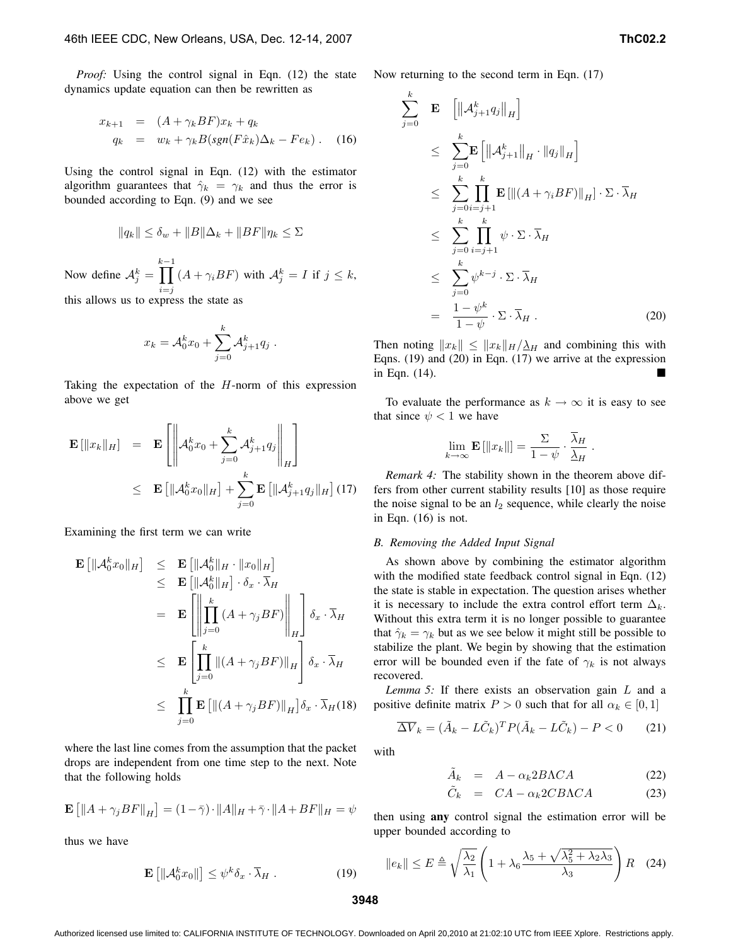*Proof:* Using the control signal in Eqn. (12) the state dynamics update equation can then be rewritten as

$$
x_{k+1} = (A + \gamma_k BF)x_k + q_k
$$
  
\n
$$
q_k = w_k + \gamma_k B(\operatorname{sgn}(F\hat{x}_k)\Delta_k - Fe_k).
$$
 (16)

Using the control signal in Eqn. (12) with the estimator algorithm guarantees that  $\hat{\gamma}_k = \gamma_k$  and thus the error is bounded according to Eqn. (9) and we see

$$
||q_k|| \le \delta_w + ||B||\Delta_k + ||BF||\eta_k \le \Sigma
$$

Now define  $A_j^k =$  $\prod^{k-1}$  $\prod_{i=j} (A + \gamma_i BF)$  with  $\mathcal{A}_{j}^{k} = I$  if  $j \leq k$ , this allows us to express the state as

$$
x_k = \mathcal{A}_0^k x_0 + \sum_{j=0}^k \mathcal{A}_{j+1}^k q_j.
$$

Taking the expectation of the  $H$ -norm of this expression above we get

$$
\mathbf{E}[\|x_k\|_H] = \mathbf{E}\left[\left\|\mathcal{A}_0^k x_0 + \sum_{j=0}^k \mathcal{A}_{j+1}^k q_j\right\|_H\right]
$$
  

$$
\leq \mathbf{E}\left[\|\mathcal{A}_0^k x_0\|_H\right] + \sum_{j=0}^k \mathbf{E}\left[\|\mathcal{A}_{j+1}^k q_j\|_H\right] (17)
$$

Examining the first term we can write

$$
\begin{aligned}\n\mathbf{E} \left[ \|\mathcal{A}_0^k x_0 \|_H \right] &\leq \mathbf{E} \left[ \|\mathcal{A}_0^k \|_H \cdot \|x_0\|_H \right] \\
&\leq \mathbf{E} \left[ \|\mathcal{A}_0^k \|_H \right] \cdot \delta_x \cdot \overline{\lambda}_H \\
&= \mathbf{E} \left[ \left\| \prod_{j=0}^k (A + \gamma_j BF) \right\|_H \right] \delta_x \cdot \overline{\lambda}_H \\
&\leq \mathbf{E} \left[ \prod_{j=0}^k \| (A + \gamma_j BF) \|_H \right] \delta_x \cdot \overline{\lambda}_H \\
&\leq \prod_{j=0}^k \mathbf{E} \left[ \|(A + \gamma_j BF) \|_H \right] \delta_x \cdot \overline{\lambda}_H \quad (18)\n\end{aligned}
$$

where the last line comes from the assumption that the packet drops are independent from one time step to the next. Note that the following holds

$$
\mathbf{E}\left[\|A + \gamma_j BF\|_H\right] = (1 - \bar{\gamma}) \cdot \|A\|_H + \bar{\gamma} \cdot \|A + BF\|_H = \psi
$$

thus we have

$$
\mathbf{E}\left[\|\mathcal{A}_0^k x_0\|\right] \le \psi^k \delta_x \cdot \overline{\lambda}_H. \tag{19}
$$

Now returning to the second term in Eqn. (17)

$$
\sum_{j=0}^{k} \mathbf{E} \left[ \left\| \mathcal{A}_{j+1}^{k} q_{j} \right\|_{H} \right]
$$
\n
$$
\leq \sum_{j=0}^{k} \mathbf{E} \left[ \left\| \mathcal{A}_{j+1}^{k} \right\|_{H} \cdot \left\| q_{j} \right\|_{H} \right]
$$
\n
$$
\leq \sum_{j=0}^{k} \prod_{i=j+1}^{k} \mathbf{E} \left[ \left\| (A + \gamma_{i} BF) \right\|_{H} \right] \cdot \Sigma \cdot \overline{\lambda}_{H}
$$
\n
$$
\leq \sum_{j=0}^{k} \prod_{i=j+1}^{k} \psi \cdot \Sigma \cdot \overline{\lambda}_{H}
$$
\n
$$
\leq \sum_{j=0}^{k} \psi^{k-j} \cdot \Sigma \cdot \overline{\lambda}_{H}
$$
\n
$$
= \frac{1 - \psi^{k}}{1 - \psi} \cdot \Sigma \cdot \overline{\lambda}_{H} .
$$
\n(20)

Then noting  $||x_k|| \leq ||x_k||_H/\Delta_H$  and combining this with Eqns. (19) and (20) in Eqn. (17) we arrive at the expression in Eqn. (14).

To evaluate the performance as  $k \to \infty$  it is easy to see that since  $\psi$  < 1 we have

$$
\lim_{k \to \infty} \mathbf{E} \left[ \left\| x_k \right\| \right] = \frac{\Sigma}{1 - \psi} \cdot \frac{\overline{\lambda}_H}{\underline{\lambda}_H} \; .
$$

*Remark 4:* The stability shown in the theorem above differs from other current stability results [10] as those require the noise signal to be an  $l_2$  sequence, while clearly the noise in Eqn. (16) is not.

## *B. Removing the Added Input Signal*

As shown above by combining the estimator algorithm with the modified state feedback control signal in Eqn. (12) the state is stable in expectation. The question arises whether it is necessary to include the extra control effort term  $\Delta_k$ . Without this extra term it is no longer possible to guarantee that  $\hat{\gamma}_k = \gamma_k$  but as we see below it might still be possible to stabilize the plant. We begin by showing that the estimation error will be bounded even if the fate of  $\gamma_k$  is not always recovered.

*Lemma 5:* If there exists an observation gain L and a positive definite matrix  $P > 0$  such that for all  $\alpha_k \in [0,1]$ 

$$
\overline{\Delta V}_k = (\tilde{A}_k - L\tilde{C}_k)^T P (\tilde{A}_k - L\tilde{C}_k) - P < 0 \tag{21}
$$

with

$$
\tilde{A}_k = A - \alpha_k 2B\Lambda C A \tag{22}
$$

$$
\tilde{C}_k = CA - \alpha_k 2C B \Lambda C A \qquad (23)
$$

then using any control signal the estimation error will be upper bounded according to

$$
\|e_k\| \le E \triangleq \sqrt{\frac{\lambda_2}{\lambda_1}} \left( 1 + \lambda_6 \frac{\lambda_5 + \sqrt{\lambda_5^2 + \lambda_2 \lambda_3}}{\lambda_3} \right) R \quad (24)
$$

**3948**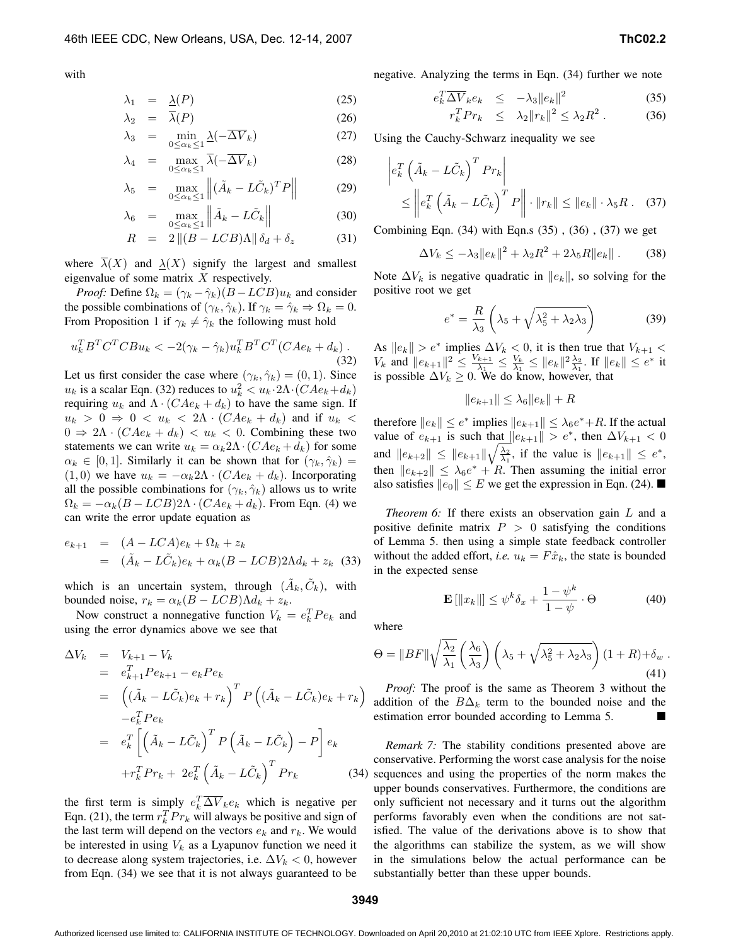with

$$
\lambda_1 = \underline{\lambda}(P) \tag{25}
$$

$$
\lambda_2 = \lambda(P) \tag{26}
$$

$$
\lambda_3 = \min_{0 \le \alpha_k \le 1} \underline{\lambda}(-\Delta V_k) \tag{27}
$$

$$
\lambda_4 = \max_{0 \le \alpha_k \le 1} \overline{\lambda}(-\overline{\Delta V}_k) \tag{28}
$$

$$
\lambda_5 = \max_{0 \le \alpha_k \le 1} \left\| (\tilde{A}_k - L\tilde{C}_k)^T P \right\| \tag{29}
$$

$$
\lambda_6 = \max_{0 \le \alpha_k \le 1} \left\| \tilde{A}_k - L \tilde{C}_k \right\| \tag{30}
$$

$$
R = 2 ||(B - LCB)\Lambda|| \delta_d + \delta_z \tag{31}
$$

where  $\overline{\lambda}(X)$  and  $\lambda(X)$  signify the largest and smallest eigenvalue of some matrix  $X$  respectively.

*Proof:* Define  $\Omega_k = (\gamma_k - \hat{\gamma}_k)(B - LCB)u_k$  and consider the possible combinations of  $(\gamma_k, \hat{\gamma}_k)$ . If  $\gamma_k = \hat{\gamma}_k \Rightarrow \Omega_k = 0$ . From Proposition 1 if  $\gamma_k \neq \hat{\gamma}_k$  the following must hold

$$
u_k^T B^T C^T C B u_k < -2(\gamma_k - \hat{\gamma}_k) u_k^T B^T C^T (C A e_k + d_k).
$$
\n(32)

Let us first consider the case where  $(\gamma_k, \hat{\gamma}_k) = (0, 1)$ . Since  $u_k$  is a scalar Eqn. (32) reduces to  $u_k^2 < u_k \cdot 2\Lambda \cdot (CAe_k + d_k)$ requiring  $u_k$  and  $\Lambda \cdot (CAe_k + d_k)$  to have the same sign. If  $u_k > 0 \Rightarrow 0 < u_k < 2\Lambda \cdot (C A e_k + d_k)$  and if  $u_k <$  $0 \Rightarrow 2\Lambda \cdot (CAe_k + d_k) < u_k < 0$ . Combining these two statements we can write  $u_k = \alpha_k 2\Lambda \cdot (C A e_k + d_k)$  for some  $\alpha_k \in [0, 1]$ . Similarly it can be shown that for  $(\gamma_k, \hat{\gamma}_k)$  =  $(1, 0)$  we have  $u_k = -\alpha_k 2\Lambda \cdot (C A e_k + d_k)$ . Incorporating all the possible combinations for  $(\gamma_k, \hat{\gamma}_k)$  allows us to write  $\Omega_k = -\alpha_k (B - LCB) 2\Lambda \cdot (C A e_k + d_k)$ . From Eqn. (4) we can write the error update equation as

$$
e_{k+1} = (A - LCA)e_k + \Omega_k + z_k
$$
  
=  $(\tilde{A}_k - L\tilde{C}_k)e_k + \alpha_k(B - LCB)2\Lambda d_k + z_k$  (33)

which is an uncertain system, through  $(\tilde{A}_k, \tilde{C}_k)$ , with bounded noise,  $r_k = \alpha_k (B - LCB) \Lambda d_k + z_k$ .

Now construct a nonnegative function  $V_k = e_k^T P e_k$  and using the error dynamics above we see that

$$
\Delta V_k = V_{k+1} - V_k
$$
  
\n
$$
= e_{k+1}^T P e_{k+1} - e_k P e_k
$$
  
\n
$$
= \left( (\tilde{A}_k - L\tilde{C}_k) e_k + r_k \right)^T P \left( (\tilde{A}_k - L\tilde{C}_k) e_k + r_k \right)
$$
  
\n
$$
-e_k^T P e_k
$$
  
\n
$$
= e_k^T \left[ \left( \tilde{A}_k - L\tilde{C}_k \right)^T P \left( \tilde{A}_k - L\tilde{C}_k \right) - P \right] e_k
$$
  
\n
$$
+r_k^T P r_k + 2e_k^T \left( \tilde{A}_k - L\tilde{C}_k \right)^T P r_k
$$
 (34)

the first term is simply  $e_k^T \overline{\Delta V}_k e_k$  which is negative per Eqn. (21), the term  $r_k^T Pr_k$  will always be positive and sign of the last term will depend on the vectors  $e_k$  and  $r_k$ . We would be interested in using  $V_k$  as a Lyapunov function we need it to decrease along system trajectories, i.e.  $\Delta V_k < 0$ , however from Eqn. (34) we see that it is not always guaranteed to be negative. Analyzing the terms in Eqn. (34) further we note

$$
e_k^T \overline{\Delta V}_k e_k \le -\lambda_3 \|e_k\|^2 \tag{35}
$$
\n
$$
e_k^T P_k \le \lambda_3 \|e_k\|^2 \le \lambda_3 P_k^2 \tag{36}
$$

$$
r_k^T Pr_k \leq \lambda_2 \|r_k\|^2 \leq \lambda_2 R^2. \tag{36}
$$

Using the Cauchy-Schwarz inequality we see

$$
\begin{aligned} \left| e_k^T \left( \tilde{A}_k - L \tilde{C}_k \right)^T P r_k \right| \\ &\leq \left\| e_k^T \left( \tilde{A}_k - L \tilde{C}_k \right)^T P \right\| \cdot \|r_k\| \leq \|e_k\| \cdot \lambda_5 R \,. \end{aligned} \tag{37}
$$

Combining Eqn.  $(34)$  with Eqn.s  $(35)$ ,  $(36)$ ,  $(37)$  we get

$$
\Delta V_k \le -\lambda_3 \|e_k\|^2 + \lambda_2 R^2 + 2\lambda_5 R \|e_k\| \,. \tag{38}
$$

Note  $\Delta V_k$  is negative quadratic in  $||e_k||$ , so solving for the positive root we get

$$
e^* = \frac{R}{\lambda_3} \left( \lambda_5 + \sqrt{\lambda_5^2 + \lambda_2 \lambda_3} \right) \tag{39}
$$

As  $||e_k|| > e^*$  implies  $\Delta V_k < 0$ , it is then true that  $V_{k+1} <$  $V_k$  and  $||e_{k+1}||^2 \leq \frac{V_{k+1}}{\lambda_1}$  $\frac{\lambda_{k+1}}{\lambda_1} \leq \frac{V_k}{\lambda_1} \leq \|e_k\|^2 \frac{\lambda_2}{\lambda_1}.$  If  $\|e_k\| \leq e^*$  it is possible  $\Delta V_k \geq 0$ . We do know, however, that

$$
||e_{k+1}|| \leq \lambda_6 ||e_k|| + R
$$

therefore  $||e_k|| \le e^*$  implies  $||e_{k+1}|| \le \lambda_6 e^* + R$ . If the actual value of  $e_{k+1}$  is such that  $||e_{k+1}|| > e^*$ , then  $\Delta V_{k+1} < 0$ and  $||e_{k+2}|| \le ||e_{k+1}|| \sqrt{\frac{\lambda_2}{\lambda_1}}$ , if the value is  $||e_{k+1}|| \le e^*$ , then  $||e_{k+2}|| \leq \lambda_6 e^* + R$ . Then assuming the initial error also satisfies  $||e_0|| \leq E$  we get the expression in Eqn. (24).

*Theorem 6:* If there exists an observation gain L and a positive definite matrix  $P > 0$  satisfying the conditions of Lemma 5. then using a simple state feedback controller without the added effort, *i.e.*  $u_k = F\hat{x}_k$ , the state is bounded in the expected sense

$$
\mathbf{E}\left[\|x_k\|\right] \le \psi^k \delta_x + \frac{1-\psi^k}{1-\psi} \cdot \Theta \tag{40}
$$

where

$$
\Theta = \|BF\| \sqrt{\frac{\lambda_2}{\lambda_1}} \left(\frac{\lambda_6}{\lambda_3}\right) \left(\lambda_5 + \sqrt{\lambda_5^2 + \lambda_2 \lambda_3}\right) (1+R) + \delta_w \tag{41}
$$

*Proof:* The proof is the same as Theorem 3 without the addition of the  $B\Delta_k$  term to the bounded noise and the estimation error bounded according to Lemma 5.

*Remark 7:* The stability conditions presented above are conservative. Performing the worst case analysis for the noise sequences and using the properties of the norm makes the upper bounds conservatives. Furthermore, the conditions are only sufficient not necessary and it turns out the algorithm performs favorably even when the conditions are not satisfied. The value of the derivations above is to show that the algorithms can stabilize the system, as we will show in the simulations below the actual performance can be substantially better than these upper bounds.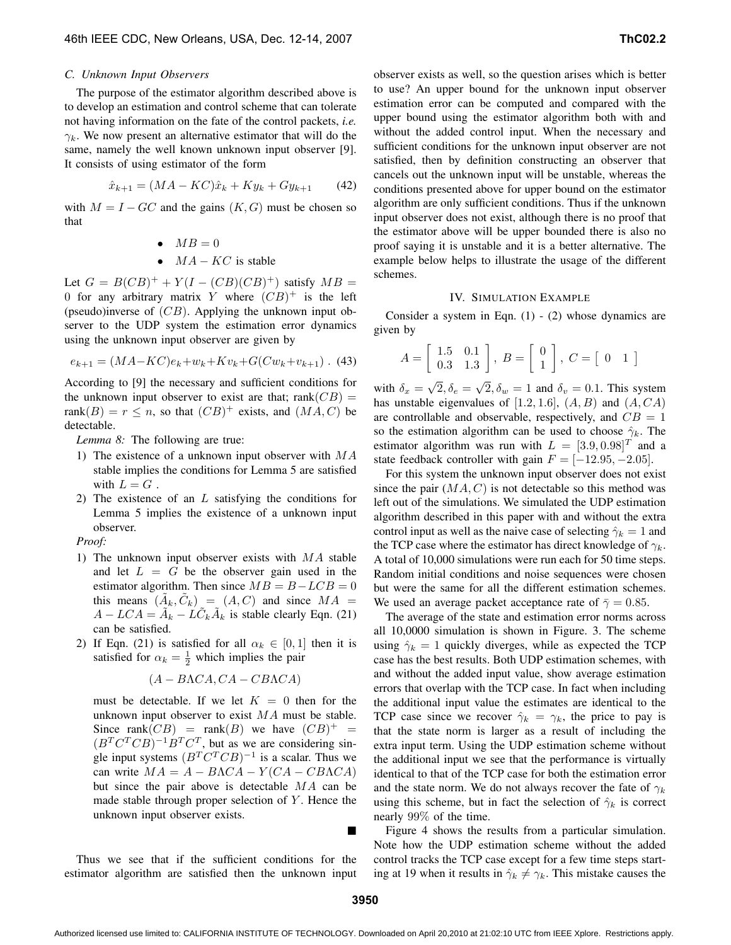#### *C. Unknown Input Observers*

The purpose of the estimator algorithm described above is to develop an estimation and control scheme that can tolerate not having information on the fate of the control packets, *i.e.*  $\gamma_k$ . We now present an alternative estimator that will do the same, namely the well known unknown input observer [9]. It consists of using estimator of the form

$$
\hat{x}_{k+1} = (MA - KC)\hat{x}_k + Ky_k + Gy_{k+1} \tag{42}
$$

with  $M = I - GC$  and the gains  $(K, G)$  must be chosen so that

• 
$$
MB = 0
$$

• 
$$
MA - KC
$$
 is stable

Let  $G = B(CB)^{+} + Y(I - (CB)(CB)^{+})$  satisfy  $MB =$ 0 for any arbitrary matrix Y where  $(CB)^+$  is the left (pseudo)inverse of  $(CB)$ . Applying the unknown input observer to the UDP system the estimation error dynamics using the unknown input observer are given by

$$
e_{k+1} = (MA - KC)e_k + w_k + Kv_k + G(Cw_k + v_{k+1})
$$
 (43)

According to [9] the necessary and sufficient conditions for the unknown input observer to exist are that; rank $(CB)$  = rank $(B) = r \le n$ , so that  $(CB)^+$  exists, and  $(MA, C)$  be detectable.

*Lemma 8:* The following are true:

- 1) The existence of a unknown input observer with  $MA$ stable implies the conditions for Lemma 5 are satisfied with  $L = G$ .
- 2) The existence of an L satisfying the conditions for Lemma 5 implies the existence of a unknown input observer.

*Proof:*

- 1) The unknown input observer exists with MA stable and let  $L = G$  be the observer gain used in the estimator algorithm. Then since  $MB = B - LCB = 0$ this means  $(\tilde{A}_k, \tilde{C}_k) = (A, C)$  and since  $MA =$  $A - LCA = \tilde{A}_k - \tilde{L}\tilde{C}_k\tilde{A}_k$  is stable clearly Eqn. (21) can be satisfied.
- 2) If Eqn. (21) is satisfied for all  $\alpha_k \in [0,1]$  then it is satisfied for  $\alpha_k = \frac{1}{2}$  which implies the pair

$$
(A - B\Lambda CA, CA - C\text{B}\Lambda CA)
$$

must be detectable. If we let  $K = 0$  then for the unknown input observer to exist MA must be stable. Since rank $(CB)$  = rank $(B)$  we have  $(CB)^{+}$  =  $(B<sup>T</sup> C<sup>T</sup> C B)^{-1} B<sup>T</sup> C<sup>T</sup>$ , but as we are considering single input systems  $(B<sup>T</sup> C<sup>T</sup> C B)^{-1}$  is a scalar. Thus we can write  $MA = A - B\Lambda CA - Y(CA - CB\Lambda CA)$ but since the pair above is detectable MA can be made stable through proper selection of  $Y$ . Hence the unknown input observer exists.

Thus we see that if the sufficient conditions for the estimator algorithm are satisfied then the unknown input observer exists as well, so the question arises which is better to use? An upper bound for the unknown input observer estimation error can be computed and compared with the upper bound using the estimator algorithm both with and without the added control input. When the necessary and sufficient conditions for the unknown input observer are not satisfied, then by definition constructing an observer that cancels out the unknown input will be unstable, whereas the conditions presented above for upper bound on the estimator algorithm are only sufficient conditions. Thus if the unknown input observer does not exist, although there is no proof that the estimator above will be upper bounded there is also no proof saying it is unstable and it is a better alternative. The example below helps to illustrate the usage of the different schemes.

#### IV. SIMULATION EXAMPLE

Consider a system in Eqn.  $(1)$  -  $(2)$  whose dynamics are given by

$$
A = \left[ \begin{array}{cc} 1.5 & 0.1 \\ 0.3 & 1.3 \end{array} \right], B = \left[ \begin{array}{c} 0 \\ 1 \end{array} \right], C = \left[ \begin{array}{cc} 0 & 1 \end{array} \right]
$$

with  $\delta_x = \sqrt{2}, \delta_e = \sqrt{2}, \delta_w = 1$  and  $\delta_v = 0.1$ . This system has unstable eigenvalues of [1.2, 1.6],  $(A, B)$  and  $(A, CA)$ are controllable and observable, respectively, and  $CB = 1$ so the estimation algorithm can be used to choose  $\hat{\gamma}_k$ . The estimator algorithm was run with  $L = [3.9, 0.98]^T$  and a state feedback controller with gain  $F = [-12.95, -2.05]$ .

For this system the unknown input observer does not exist since the pair  $(MA, C)$  is not detectable so this method was left out of the simulations. We simulated the UDP estimation algorithm described in this paper with and without the extra control input as well as the naive case of selecting  $\hat{\gamma}_k = 1$  and the TCP case where the estimator has direct knowledge of  $\gamma_k$ . A total of 10,000 simulations were run each for 50 time steps. Random initial conditions and noise sequences were chosen but were the same for all the different estimation schemes. We used an average packet acceptance rate of  $\bar{\gamma} = 0.85$ .

The average of the state and estimation error norms across all 10,0000 simulation is shown in Figure. 3. The scheme using  $\hat{\gamma}_k = 1$  quickly diverges, while as expected the TCP case has the best results. Both UDP estimation schemes, with and without the added input value, show average estimation errors that overlap with the TCP case. In fact when including the additional input value the estimates are identical to the TCP case since we recover  $\hat{\gamma}_k = \gamma_k$ , the price to pay is that the state norm is larger as a result of including the extra input term. Using the UDP estimation scheme without the additional input we see that the performance is virtually identical to that of the TCP case for both the estimation error and the state norm. We do not always recover the fate of  $\gamma_k$ using this scheme, but in fact the selection of  $\hat{\gamma}_k$  is correct nearly 99% of the time.

Figure 4 shows the results from a particular simulation. Note how the UDP estimation scheme without the added control tracks the TCP case except for a few time steps starting at 19 when it results in  $\hat{\gamma}_k \neq \gamma_k$ . This mistake causes the

 $\blacksquare$